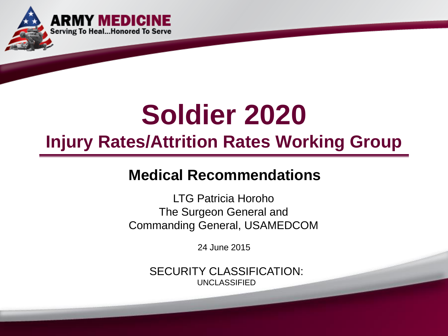

# **Soldier 2020**

## **Injury Rates/Attrition Rates Working Group**

## **Medical Recommendations**

LTG Patricia Horoho The Surgeon General and Commanding General, USAMEDCOM

24 June 2015

SECURITY CLASSIFICATION: UNCLASSIFIED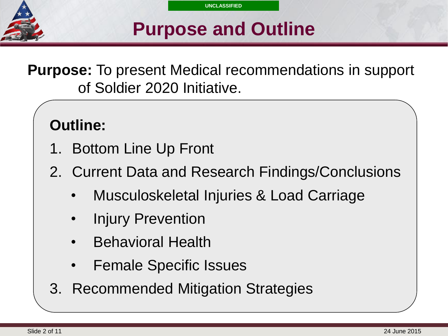

## **Purpose and Outline**

**Purpose:** To present Medical recommendations in support of Soldier 2020 Initiative.

## **Outline:**

- 1. Bottom Line Up Front
- 2. Current Data and Research Findings/Conclusions
	- Musculoskeletal Injuries & Load Carriage
	- **Injury Prevention**
	- Behavioral Health
	- Female Specific Issues
- 3. Recommended Mitigation Strategies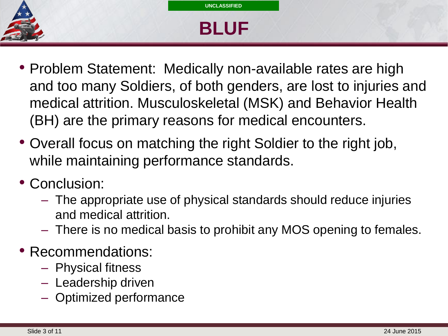

## **Select SLIDE MASTER to Insert Briefing Title Here BLUF**

- Problem Statement: Medically non-available rates are high and too many Soldiers, of both genders, are lost to injuries and medical attrition. Musculoskeletal (MSK) and Behavior Health (BH) are the primary reasons for medical encounters.
- Overall focus on matching the right Soldier to the right job, while maintaining performance standards.
- Conclusion:
	- The appropriate use of physical standards should reduce injuries and medical attrition.
	- There is no medical basis to prohibit any MOS opening to females.
- Recommendations:
	- Physical fitness
	- Leadership driven
	- Optimized performance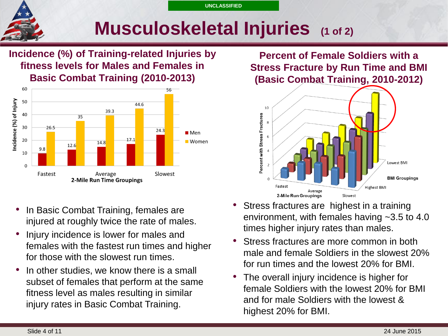## **Musculoskeletal Injuries (1 of 2)**

**Incidence (%) of Training-related Injuries by fitness levels for Males and Females in Basic Combat Training (2010-2013)**



**Percent of Female Soldiers with a Stress Fracture by Run Time and BMI (Basic Combat Training, 2010-2012)**



- In Basic Combat Training, females are injured at roughly twice the rate of males.
- Injury incidence is lower for males and females with the fastest run times and higher for those with the slowest run times.
- In other studies, we know there is a small subset of females that perform at the same fitness level as males resulting in similar injury rates in Basic Combat Training.
- Stress fractures are highest in a training environment, with females having ~3.5 to 4.0 times higher injury rates than males.
- Stress fractures are more common in both male and female Soldiers in the slowest 20% for run times and the lowest 20% for BMI.
- The overall injury incidence is higher for female Soldiers with the lowest 20% for BMI and for male Soldiers with the lowest & highest 20% for BMI.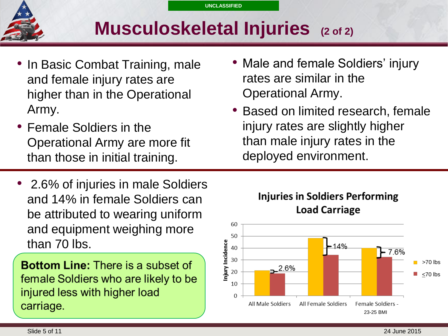

## **Select SLIDE MASTER to Insert Briefing Title Here Musculoskeletal Injuries (2 of 2)**

- In Basic Combat Training, male and female injury rates are higher than in the Operational Army.
- Female Soldiers in the Operational Army are more fit than those in initial training.
- 2.6% of injuries in male Soldiers and 14% in female Soldiers can be attributed to wearing uniform and equipment weighing more than 70 lbs.

**Bottom Line: There is a subset of** female Soldiers who are likely to be injured less with higher load carriage.

- Male and female Soldiers' injury rates are similar in the Operational Army.
- Based on limited research, female injury rates are slightly higher than male injury rates in the deployed environment.



**Injuries in Soldiers Performing**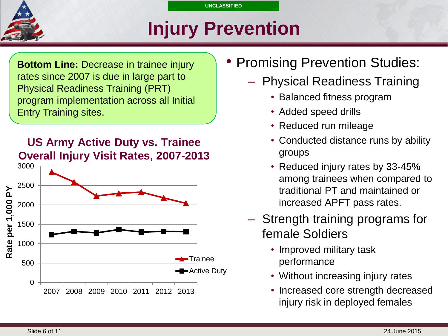

## **Select SLIDE MASTER to Insert Briefing Title Here Injury Prevention**

**Bottom Line: Decrease in trainee injury** rates since 2007 is due in large part to Physical Readiness Training (PRT) program implementation across all Initial Entry Training sites.





- **Promising Prevention Studies:** 
	- Physical Readiness Training
		- Balanced fitness program
		- Added speed drills
		- Reduced run mileage
		- Conducted distance runs by ability groups
		- Reduced injury rates by 33-45% among trainees when compared to traditional PT and maintained or increased APFT pass rates.
	- Strength training programs for female Soldiers
		- Improved military task performance
		- Without increasing injury rates
		- Increased core strength decreased injury risk in deployed females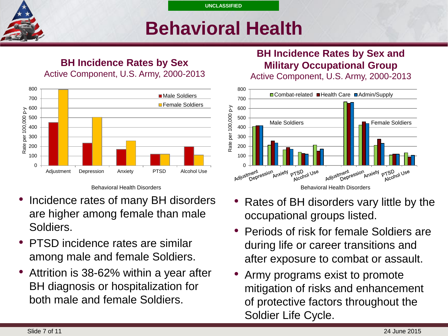## **Select SLIDE MASTER to Insert Briefing Title Here Behavioral Health**

#### **BH Incidence Rates by Sex** Active Component, U.S. Army, 2000-2013



Behavioral Health Disorders

- Incidence rates of many BH disorders are higher among female than male Soldiers.
- PTSD incidence rates are similar among male and female Soldiers.
- Attrition is 38-62% within a year after BH diagnosis or hospitalization for both male and female Soldiers.

### **BH Incidence Rates by Sex and Military Occupational Group**

Active Component, U.S. Army, 2000-2013



- Rates of BH disorders vary little by the occupational groups listed.
- Periods of risk for female Soldiers are during life or career transitions and after exposure to combat or assault.
- Army programs exist to promote mitigation of risks and enhancement of protective factors throughout the Soldier Life Cycle.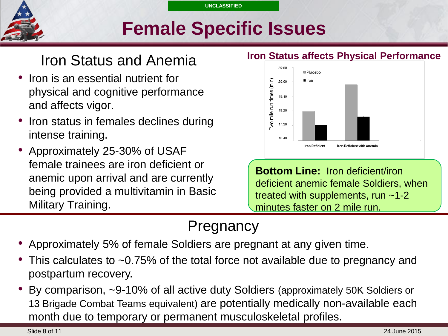

## **Select SLIDE MASTER to Insert Briefing Title Here Female Specific Issues**

## Iron Status and Anemia

- Iron is an essential nutrient for physical and cognitive performance and affects vigor.
- Iron status in females declines during intense training.
- Approximately 25-30% of USAF female trainees are iron deficient or anemic upon arrival and are currently being provided a multivitamin in Basic Military Training.

#### **Iron Status affects Physical Performance**



**Bottom Line:** Iron deficient/iron deficient anemic female Soldiers, when treated with supplements, run ~1-2 minutes faster on 2 mile run.

## Pregnancy

- Approximately 5% of female Soldiers are pregnant at any given time.
- This calculates to ~0.75% of the total force not available due to pregnancy and postpartum recovery.
- By comparison, ~9-10% of all active duty Soldiers (approximately 50K Soldiers or 13 Brigade Combat Teams equivalent) are potentially medically non-available each month due to temporary or permanent musculoskeletal profiles.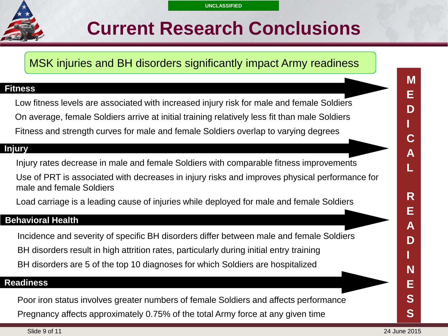## **Select SLIDE MASTER to Insert Briefing Title Here Current Research Conclusions**

MSK injuries and BH disorders significantly impact Army readiness

#### **Fitness**

Low fitness levels are associated with increased injury risk for male and female Soldiers On average, female Soldiers arrive at initial training relatively less fit than male Soldiers Fitness and strength curves for male and female Soldiers overlap to varying degrees

#### **Injury**

Injury rates decrease in male and female Soldiers with comparable fitness improvements

Use of PRT is associated with decreases in injury risks and improves physical performance for male and female Soldiers

Load carriage is a leading cause of injuries while deployed for male and female Soldiers

#### **Behavioral Health**

Incidence and severity of specific BH disorders differ between male and female Soldiers BH disorders result in high attrition rates, particularly during initial entry training BH disorders are 5 of the top 10 diagnoses for which Soldiers are hospitalized

#### **Readiness**

Poor iron status involves greater numbers of female Soldiers and affects performance Pregnancy affects approximately 0.75% of the total Army force at any given time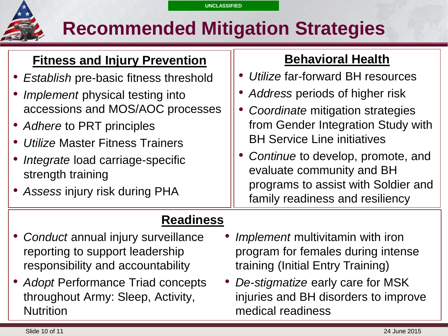## **Recommended Mitigation Strategies**

### **Fitness and Injury Prevention**

- *Establish* pre-basic fitness threshold
- *Implement* physical testing into accessions and MOS/AOC processes
- *Adhere* to PRT principles
- *Utilize* Master Fitness Trainers
- *Integrate* load carriage-specific strength training
- *Assess* injury risk during PHA

### **Behavioral Health**

- *Utilize* far-forward BH resources
- *Address* periods of higher risk
- *Coordinate* mitigation strategies from Gender Integration Study with BH Service Line initiatives
- *Continue* to develop, promote, and evaluate community and BH programs to assist with Soldier and family readiness and resiliency

### **Readiness**

- *Conduct* annual injury surveillance reporting to support leadership responsibility and accountability
- *Adopt* Performance Triad concepts throughout Army: Sleep, Activity, **Nutrition**
- *Implement* multivitamin with iron program for females during intense training (Initial Entry Training)
- *De-stigmatize* early care for MSK injuries and BH disorders to improve medical readiness